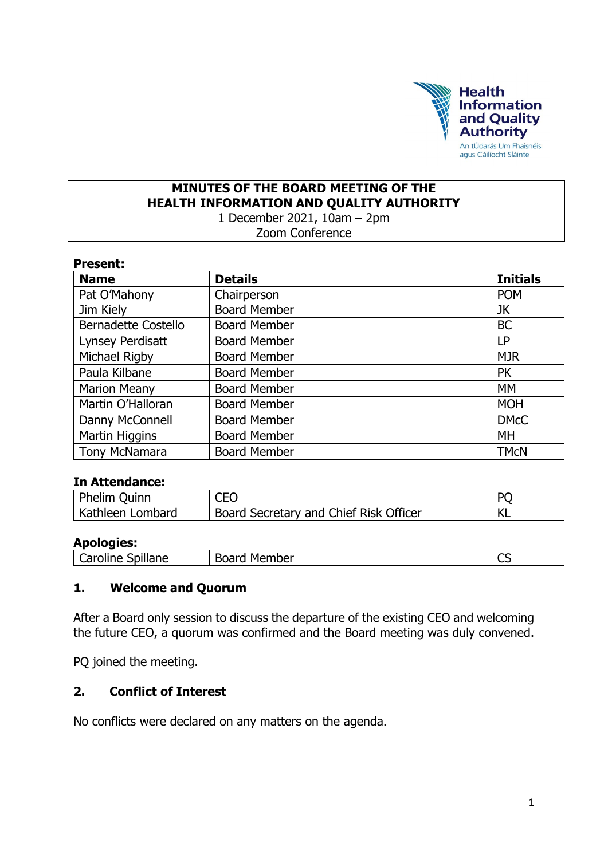

#### **MINUTES OF THE BOARD MEETING OF THE HEALTH INFORMATION AND QUALITY AUTHORITY** 1 December 2021, 10am – 2pm

Zoom Conference

#### **Present:**

| <b>Name</b>                | <b>Details</b>      | <b>Initials</b> |
|----------------------------|---------------------|-----------------|
| Pat O'Mahony               | Chairperson         | <b>POM</b>      |
| Jim Kiely                  | <b>Board Member</b> | JK              |
| <b>Bernadette Costello</b> | <b>Board Member</b> | <b>BC</b>       |
| Lynsey Perdisatt           | <b>Board Member</b> | <b>LP</b>       |
| Michael Rigby              | <b>Board Member</b> | <b>MJR</b>      |
| Paula Kilbane              | <b>Board Member</b> | <b>PK</b>       |
| <b>Marion Meany</b>        | <b>Board Member</b> | <b>MM</b>       |
| Martin O'Halloran          | <b>Board Member</b> | <b>MOH</b>      |
| Danny McConnell            | <b>Board Member</b> | <b>DMcC</b>     |
| Martin Higgins             | <b>Board Member</b> | MH              |
| <b>Tony McNamara</b>       | <b>Board Member</b> | <b>TMCN</b>     |

#### **In Attendance:**

| Phelim Quinn     | <b>CEO</b>                                          | <b>PC</b> |
|------------------|-----------------------------------------------------|-----------|
| Kathleen Lombard | <sup>1</sup> Board Secretary and Chief Risk Officer | NL.       |

#### **Apologies:**

| Spillane | Board  | ~~ |
|----------|--------|----|
| Caroline | Member | ٮٮ |

#### **1. Welcome and Quorum**

After a Board only session to discuss the departure of the existing CEO and welcoming the future CEO, a quorum was confirmed and the Board meeting was duly convened.

PQ joined the meeting.

## **2. Conflict of Interest**

No conflicts were declared on any matters on the agenda.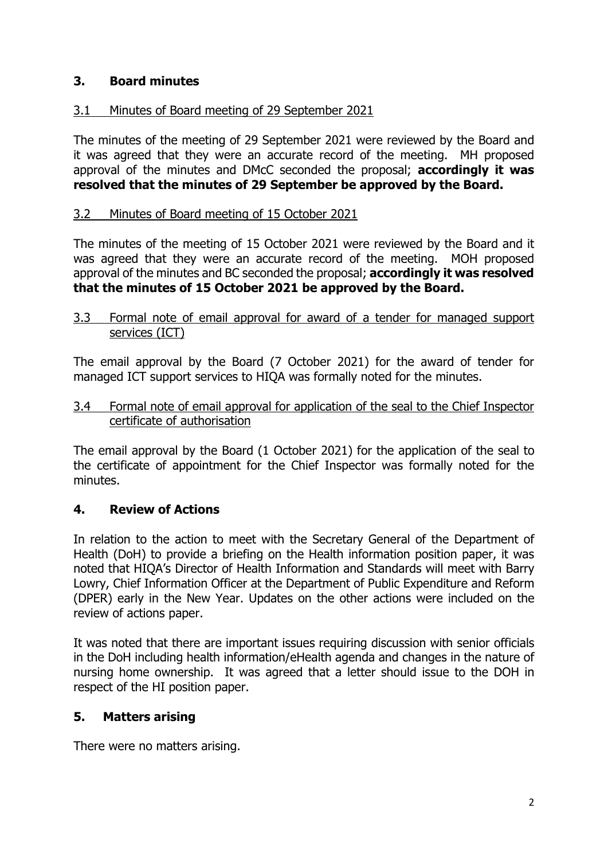# **3. Board minutes**

## 3.1 Minutes of Board meeting of 29 September 2021

The minutes of the meeting of 29 September 2021 were reviewed by the Board and it was agreed that they were an accurate record of the meeting. MH proposed approval of the minutes and DMcC seconded the proposal; **accordingly it was resolved that the minutes of 29 September be approved by the Board.**

#### 3.2 Minutes of Board meeting of 15 October 2021

The minutes of the meeting of 15 October 2021 were reviewed by the Board and it was agreed that they were an accurate record of the meeting. MOH proposed approval of the minutes and BC seconded the proposal; **accordingly it was resolved that the minutes of 15 October 2021 be approved by the Board.**

3.3 Formal note of email approval for award of a tender for managed support services (ICT)

The email approval by the Board (7 October 2021) for the award of tender for managed ICT support services to HIQA was formally noted for the minutes.

3.4 Formal note of email approval for application of the seal to the Chief Inspector certificate of authorisation

The email approval by the Board (1 October 2021) for the application of the seal to the certificate of appointment for the Chief Inspector was formally noted for the minutes.

## **4. Review of Actions**

In relation to the action to meet with the Secretary General of the Department of Health (DoH) to provide a briefing on the Health information position paper, it was noted that HIQA's Director of Health Information and Standards will meet with Barry Lowry, Chief Information Officer at the Department of Public Expenditure and Reform (DPER) early in the New Year. Updates on the other actions were included on the review of actions paper.

It was noted that there are important issues requiring discussion with senior officials in the DoH including health information/eHealth agenda and changes in the nature of nursing home ownership. It was agreed that a letter should issue to the DOH in respect of the HI position paper.

## **5. Matters arising**

There were no matters arising.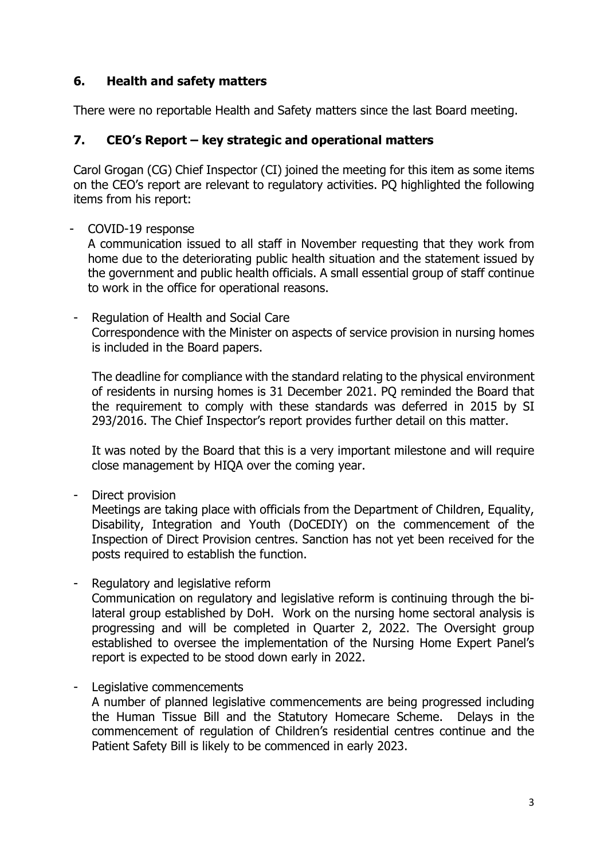# **6. Health and safety matters**

There were no reportable Health and Safety matters since the last Board meeting.

# **7. CEO's Report – key strategic and operational matters**

Carol Grogan (CG) Chief Inspector (CI) joined the meeting for this item as some items on the CEO's report are relevant to regulatory activities. PQ highlighted the following items from his report:

#### - COVID-19 response

A communication issued to all staff in November requesting that they work from home due to the deteriorating public health situation and the statement issued by the government and public health officials. A small essential group of staff continue to work in the office for operational reasons.

- Regulation of Health and Social Care Correspondence with the Minister on aspects of service provision in nursing homes is included in the Board papers.

The deadline for compliance with the standard relating to the physical environment of residents in nursing homes is 31 December 2021. PQ reminded the Board that the requirement to comply with these standards was deferred in 2015 by SI 293/2016. The Chief Inspector's report provides further detail on this matter.

It was noted by the Board that this is a very important milestone and will require close management by HIQA over the coming year.

- Direct provision

Meetings are taking place with officials from the Department of Children, Equality, Disability, Integration and Youth (DoCEDIY) on the commencement of the Inspection of Direct Provision centres. Sanction has not yet been received for the posts required to establish the function.

- Regulatory and legislative reform Communication on regulatory and legislative reform is continuing through the bilateral group established by DoH. Work on the nursing home sectoral analysis is progressing and will be completed in Quarter 2, 2022. The Oversight group established to oversee the implementation of the Nursing Home Expert Panel's report is expected to be stood down early in 2022.
- Legislative commencements A number of planned legislative commencements are being progressed including the Human Tissue Bill and the Statutory Homecare Scheme. Delays in the commencement of regulation of Children's residential centres continue and the Patient Safety Bill is likely to be commenced in early 2023.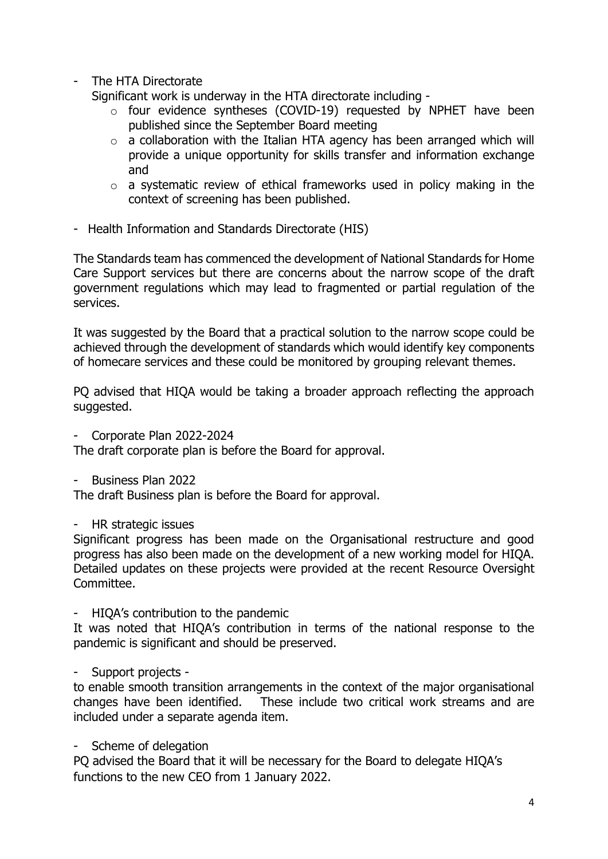- The HTA Directorate

Significant work is underway in the HTA directorate including -

- o four evidence syntheses (COVID-19) requested by NPHET have been published since the September Board meeting
- $\circ$  a collaboration with the Italian HTA agency has been arranged which will provide a unique opportunity for skills transfer and information exchange and
- o a systematic review of ethical frameworks used in policy making in the context of screening has been published.
- Health Information and Standards Directorate (HIS)

The Standards team has commenced the development of National Standards for Home Care Support services but there are concerns about the narrow scope of the draft government regulations which may lead to fragmented or partial regulation of the services.

It was suggested by the Board that a practical solution to the narrow scope could be achieved through the development of standards which would identify key components of homecare services and these could be monitored by grouping relevant themes.

PQ advised that HIQA would be taking a broader approach reflecting the approach suggested.

- Corporate Plan 2022-2024

The draft corporate plan is before the Board for approval.

- Business Plan 2022

The draft Business plan is before the Board for approval.

- HR strategic issues

Significant progress has been made on the Organisational restructure and good progress has also been made on the development of a new working model for HIQA. Detailed updates on these projects were provided at the recent Resource Oversight Committee.

- HIQA's contribution to the pandemic

It was noted that HIQA's contribution in terms of the national response to the pandemic is significant and should be preserved.

- Support projects -

to enable smooth transition arrangements in the context of the major organisational changes have been identified. These include two critical work streams and are included under a separate agenda item.

- Scheme of delegation

PQ advised the Board that it will be necessary for the Board to delegate HIQA's functions to the new CEO from 1 January 2022.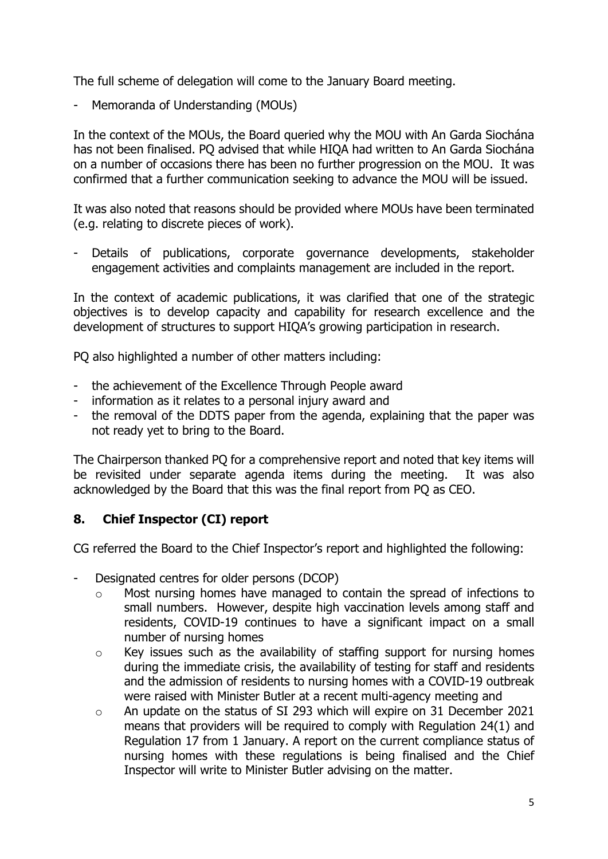The full scheme of delegation will come to the January Board meeting.

- Memoranda of Understanding (MOUs)

In the context of the MOUs, the Board queried why the MOU with An Garda Siochána has not been finalised. PQ advised that while HIQA had written to An Garda Siochána on a number of occasions there has been no further progression on the MOU. It was confirmed that a further communication seeking to advance the MOU will be issued.

It was also noted that reasons should be provided where MOUs have been terminated (e.g. relating to discrete pieces of work).

- Details of publications, corporate governance developments, stakeholder engagement activities and complaints management are included in the report.

In the context of academic publications, it was clarified that one of the strategic objectives is to develop capacity and capability for research excellence and the development of structures to support HIQA's growing participation in research.

PQ also highlighted a number of other matters including:

- the achievement of the Excellence Through People award
- information as it relates to a personal injury award and
- the removal of the DDTS paper from the agenda, explaining that the paper was not ready yet to bring to the Board.

The Chairperson thanked PQ for a comprehensive report and noted that key items will be revisited under separate agenda items during the meeting. It was also acknowledged by the Board that this was the final report from PQ as CEO.

# **8. Chief Inspector (CI) report**

CG referred the Board to the Chief Inspector's report and highlighted the following:

- Designated centres for older persons (DCOP)
	- o Most nursing homes have managed to contain the spread of infections to small numbers. However, despite high vaccination levels among staff and residents, COVID-19 continues to have a significant impact on a small number of nursing homes
	- o Key issues such as the availability of staffing support for nursing homes during the immediate crisis, the availability of testing for staff and residents and the admission of residents to nursing homes with a COVID-19 outbreak were raised with Minister Butler at a recent multi-agency meeting and
	- o An update on the status of SI 293 which will expire on 31 December 2021 means that providers will be required to comply with Regulation 24(1) and Regulation 17 from 1 January. A report on the current compliance status of nursing homes with these regulations is being finalised and the Chief Inspector will write to Minister Butler advising on the matter.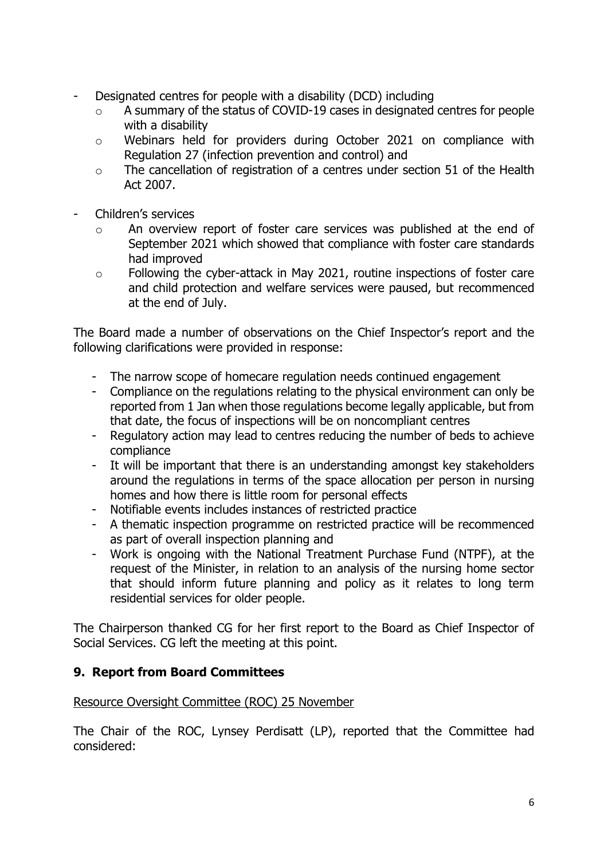- Designated centres for people with a disability (DCD) including
	- o A summary of the status of COVID-19 cases in designated centres for people with a disability
	- o Webinars held for providers during October 2021 on compliance with Regulation 27 (infection prevention and control) and
	- o The cancellation of registration of a centres under section 51 of the Health Act 2007.
- Children's services
	- o An overview report of foster care services was published at the end of September 2021 which showed that compliance with foster care standards had improved
	- o Following the cyber-attack in May 2021, routine inspections of foster care and child protection and welfare services were paused, but recommenced at the end of July.

The Board made a number of observations on the Chief Inspector's report and the following clarifications were provided in response:

- The narrow scope of homecare regulation needs continued engagement
- Compliance on the regulations relating to the physical environment can only be reported from 1 Jan when those regulations become legally applicable, but from that date, the focus of inspections will be on noncompliant centres
- Regulatory action may lead to centres reducing the number of beds to achieve compliance
- It will be important that there is an understanding amongst key stakeholders around the regulations in terms of the space allocation per person in nursing homes and how there is little room for personal effects
- Notifiable events includes instances of restricted practice
- A thematic inspection programme on restricted practice will be recommenced as part of overall inspection planning and
- Work is ongoing with the National Treatment Purchase Fund (NTPF), at the request of the Minister, in relation to an analysis of the nursing home sector that should inform future planning and policy as it relates to long term residential services for older people.

The Chairperson thanked CG for her first report to the Board as Chief Inspector of Social Services. CG left the meeting at this point.

# **9. Report from Board Committees**

## Resource Oversight Committee (ROC) 25 November

The Chair of the ROC, Lynsey Perdisatt (LP), reported that the Committee had considered: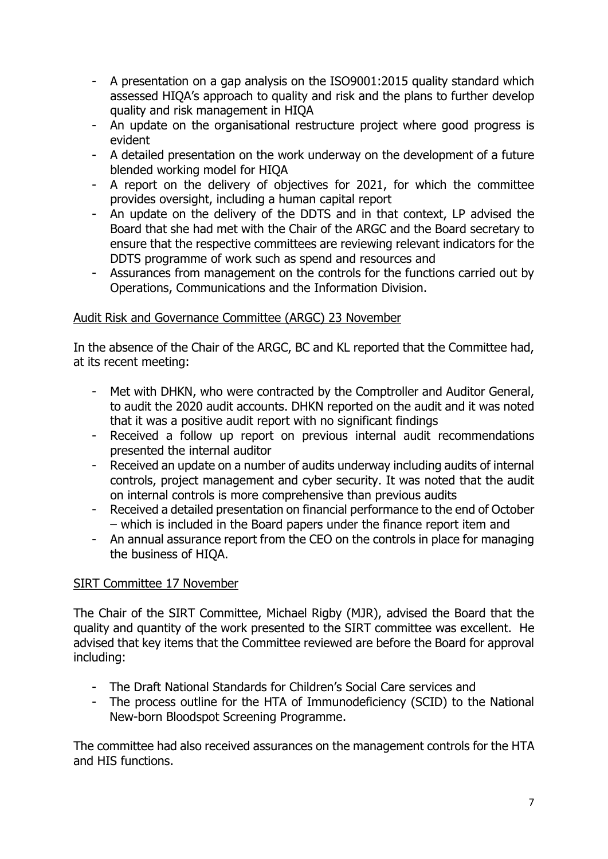- A presentation on a gap analysis on the ISO9001:2015 quality standard which assessed HIQA's approach to quality and risk and the plans to further develop quality and risk management in HIQA
- An update on the organisational restructure project where good progress is evident
- A detailed presentation on the work underway on the development of a future blended working model for HIQA
- A report on the delivery of objectives for 2021, for which the committee provides oversight, including a human capital report
- An update on the delivery of the DDTS and in that context, LP advised the Board that she had met with the Chair of the ARGC and the Board secretary to ensure that the respective committees are reviewing relevant indicators for the DDTS programme of work such as spend and resources and
- Assurances from management on the controls for the functions carried out by Operations, Communications and the Information Division.

# Audit Risk and Governance Committee (ARGC) 23 November

In the absence of the Chair of the ARGC, BC and KL reported that the Committee had, at its recent meeting:

- Met with DHKN, who were contracted by the Comptroller and Auditor General, to audit the 2020 audit accounts. DHKN reported on the audit and it was noted that it was a positive audit report with no significant findings
- Received a follow up report on previous internal audit recommendations presented the internal auditor
- Received an update on a number of audits underway including audits of internal controls, project management and cyber security. It was noted that the audit on internal controls is more comprehensive than previous audits
- Received a detailed presentation on financial performance to the end of October – which is included in the Board papers under the finance report item and
- An annual assurance report from the CEO on the controls in place for managing the business of HIQA.

# SIRT Committee 17 November

The Chair of the SIRT Committee, Michael Rigby (MJR), advised the Board that the quality and quantity of the work presented to the SIRT committee was excellent. He advised that key items that the Committee reviewed are before the Board for approval including:

- The Draft National Standards for Children's Social Care services and
- The process outline for the HTA of Immunodeficiency (SCID) to the National New-born Bloodspot Screening Programme.

The committee had also received assurances on the management controls for the HTA and HIS functions.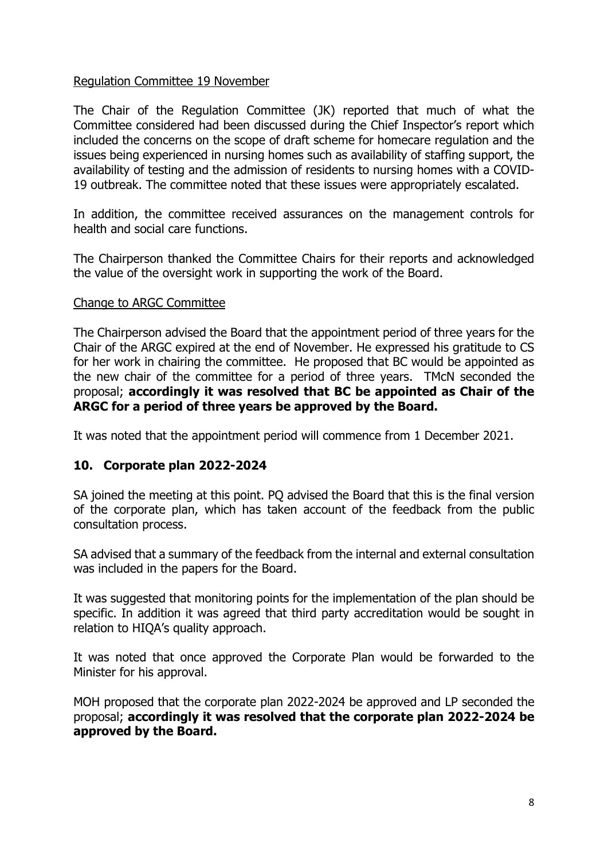#### Regulation Committee 19 November

The Chair of the Regulation Committee (JK) reported that much of what the Committee considered had been discussed during the Chief Inspector's report which included the concerns on the scope of draft scheme for homecare regulation and the issues being experienced in nursing homes such as availability of staffing support, the availability of testing and the admission of residents to nursing homes with a COVID-19 outbreak. The committee noted that these issues were appropriately escalated.

In addition, the committee received assurances on the management controls for health and social care functions.

The Chairperson thanked the Committee Chairs for their reports and acknowledged the value of the oversight work in supporting the work of the Board.

#### Change to ARGC Committee

The Chairperson advised the Board that the appointment period of three years for the Chair of the ARGC expired at the end of November. He expressed his gratitude to CS for her work in chairing the committee. He proposed that BC would be appointed as the new chair of the committee for a period of three years. TMcN seconded the proposal; **accordingly it was resolved that BC be appointed as Chair of the ARGC for a period of three years be approved by the Board.**

It was noted that the appointment period will commence from 1 December 2021.

## **10. Corporate plan 2022-2024**

SA joined the meeting at this point. PQ advised the Board that this is the final version of the corporate plan, which has taken account of the feedback from the public consultation process.

SA advised that a summary of the feedback from the internal and external consultation was included in the papers for the Board.

It was suggested that monitoring points for the implementation of the plan should be specific. In addition it was agreed that third party accreditation would be sought in relation to HIQA's quality approach.

It was noted that once approved the Corporate Plan would be forwarded to the Minister for his approval.

MOH proposed that the corporate plan 2022-2024 be approved and LP seconded the proposal; **accordingly it was resolved that the corporate plan 2022-2024 be approved by the Board.**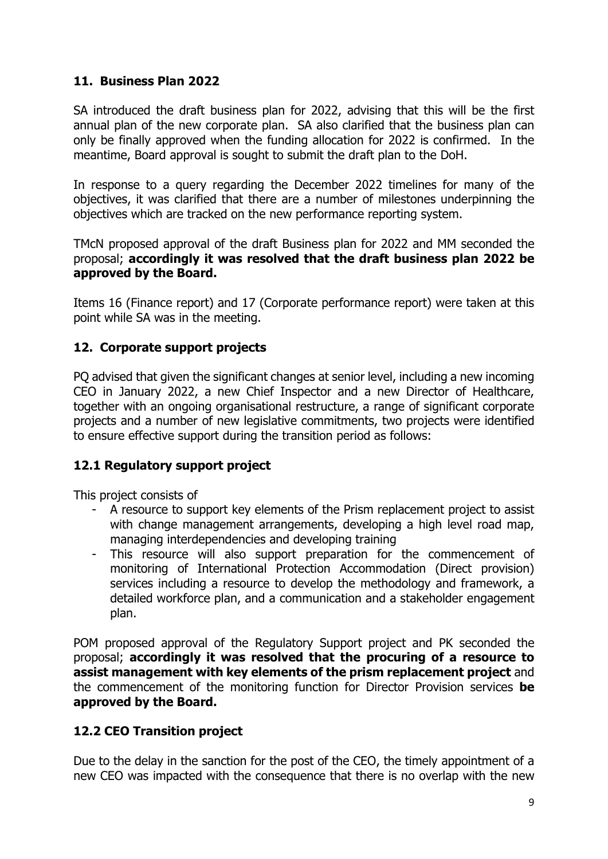# **11. Business Plan 2022**

SA introduced the draft business plan for 2022, advising that this will be the first annual plan of the new corporate plan. SA also clarified that the business plan can only be finally approved when the funding allocation for 2022 is confirmed. In the meantime, Board approval is sought to submit the draft plan to the DoH.

In response to a query regarding the December 2022 timelines for many of the objectives, it was clarified that there are a number of milestones underpinning the objectives which are tracked on the new performance reporting system.

TMcN proposed approval of the draft Business plan for 2022 and MM seconded the proposal; **accordingly it was resolved that the draft business plan 2022 be approved by the Board.**

Items 16 (Finance report) and 17 (Corporate performance report) were taken at this point while SA was in the meeting.

# **12. Corporate support projects**

PQ advised that given the significant changes at senior level, including a new incoming CEO in January 2022, a new Chief Inspector and a new Director of Healthcare, together with an ongoing organisational restructure, a range of significant corporate projects and a number of new legislative commitments, two projects were identified to ensure effective support during the transition period as follows:

# **12.1 Regulatory support project**

This project consists of

- A resource to support key elements of the Prism replacement project to assist with change management arrangements, developing a high level road map, managing interdependencies and developing training
- This resource will also support preparation for the commencement of monitoring of International Protection Accommodation (Direct provision) services including a resource to develop the methodology and framework, a detailed workforce plan, and a communication and a stakeholder engagement plan.

POM proposed approval of the Regulatory Support project and PK seconded the proposal; **accordingly it was resolved that the procuring of a resource to assist management with key elements of the prism replacement project** and the commencement of the monitoring function for Director Provision services **be approved by the Board.**

# **12.2 CEO Transition project**

Due to the delay in the sanction for the post of the CEO, the timely appointment of a new CEO was impacted with the consequence that there is no overlap with the new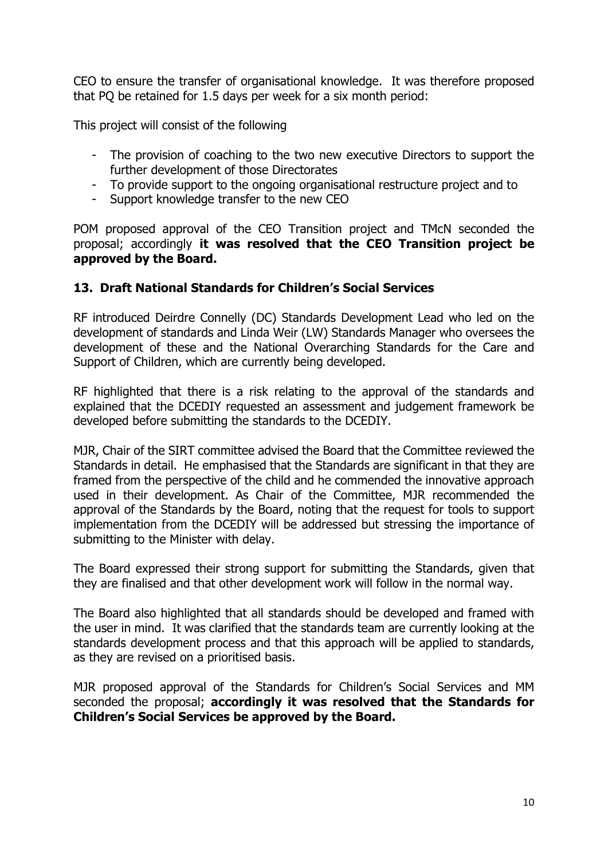CEO to ensure the transfer of organisational knowledge. It was therefore proposed that PQ be retained for 1.5 days per week for a six month period:

This project will consist of the following

- The provision of coaching to the two new executive Directors to support the further development of those Directorates
- To provide support to the ongoing organisational restructure project and to
- Support knowledge transfer to the new CEO

POM proposed approval of the CEO Transition project and TMcN seconded the proposal; accordingly **it was resolved that the CEO Transition project be approved by the Board.**

## **13. Draft National Standards for Children's Social Services**

RF introduced Deirdre Connelly (DC) Standards Development Lead who led on the development of standards and Linda Weir (LW) Standards Manager who oversees the development of these and the National Overarching Standards for the Care and Support of Children, which are currently being developed.

RF highlighted that there is a risk relating to the approval of the standards and explained that the DCEDIY requested an assessment and judgement framework be developed before submitting the standards to the DCEDIY.

MJR, Chair of the SIRT committee advised the Board that the Committee reviewed the Standards in detail. He emphasised that the Standards are significant in that they are framed from the perspective of the child and he commended the innovative approach used in their development. As Chair of the Committee, MJR recommended the approval of the Standards by the Board, noting that the request for tools to support implementation from the DCEDIY will be addressed but stressing the importance of submitting to the Minister with delay.

The Board expressed their strong support for submitting the Standards, given that they are finalised and that other development work will follow in the normal way.

The Board also highlighted that all standards should be developed and framed with the user in mind. It was clarified that the standards team are currently looking at the standards development process and that this approach will be applied to standards, as they are revised on a prioritised basis.

MJR proposed approval of the Standards for Children's Social Services and MM seconded the proposal; **accordingly it was resolved that the Standards for Children's Social Services be approved by the Board.**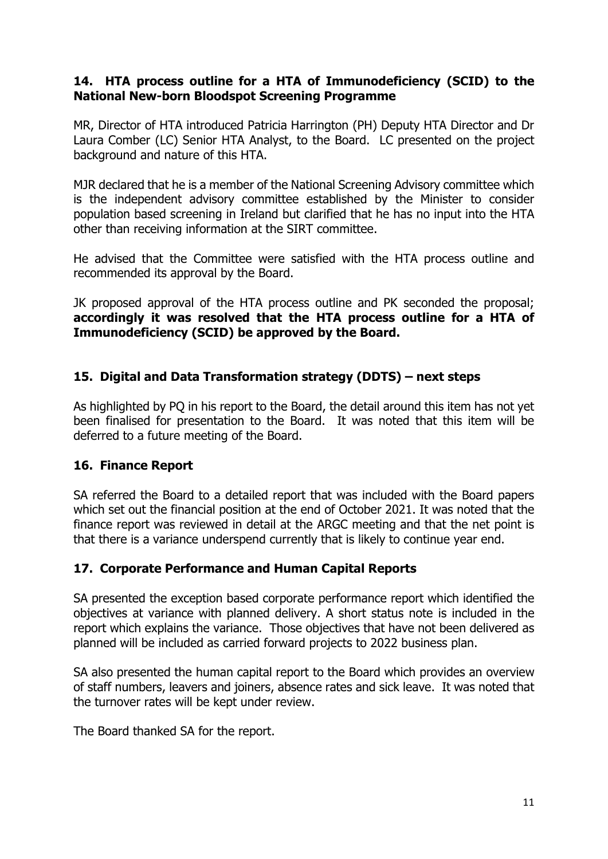## **14. HTA process outline for a HTA of Immunodeficiency (SCID) to the National New-born Bloodspot Screening Programme**

MR, Director of HTA introduced Patricia Harrington (PH) Deputy HTA Director and Dr Laura Comber (LC) Senior HTA Analyst, to the Board. LC presented on the project background and nature of this HTA.

MJR declared that he is a member of the National Screening Advisory committee which is the independent advisory committee established by the Minister to consider population based screening in Ireland but clarified that he has no input into the HTA other than receiving information at the SIRT committee.

He advised that the Committee were satisfied with the HTA process outline and recommended its approval by the Board.

JK proposed approval of the HTA process outline and PK seconded the proposal; **accordingly it was resolved that the HTA process outline for a HTA of Immunodeficiency (SCID) be approved by the Board.**

# **15. Digital and Data Transformation strategy (DDTS) – next steps**

As highlighted by PQ in his report to the Board, the detail around this item has not yet been finalised for presentation to the Board. It was noted that this item will be deferred to a future meeting of the Board.

## **16. Finance Report**

SA referred the Board to a detailed report that was included with the Board papers which set out the financial position at the end of October 2021. It was noted that the finance report was reviewed in detail at the ARGC meeting and that the net point is that there is a variance underspend currently that is likely to continue year end.

## **17. Corporate Performance and Human Capital Reports**

SA presented the exception based corporate performance report which identified the objectives at variance with planned delivery. A short status note is included in the report which explains the variance. Those objectives that have not been delivered as planned will be included as carried forward projects to 2022 business plan.

SA also presented the human capital report to the Board which provides an overview of staff numbers, leavers and joiners, absence rates and sick leave. It was noted that the turnover rates will be kept under review.

The Board thanked SA for the report.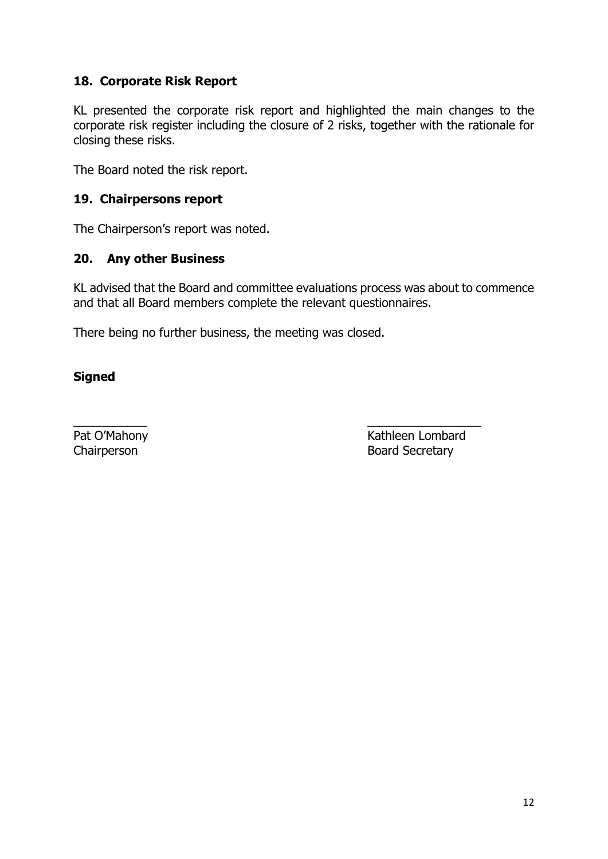# **18. Corporate Risk Report**

KL presented the corporate risk report and highlighted the main changes to the corporate risk register including the closure of 2 risks, together with the rationale for closing these risks.

The Board noted the risk report.

## **19. Chairpersons report**

The Chairperson's report was noted.

#### **20. Any other Business**

KL advised that the Board and committee evaluations process was about to commence and that all Board members complete the relevant questionnaires.

There being no further business, the meeting was closed.

## **Signed**

 $\overline{\phantom{a}}$  , and the contract of the contract of the contract of the contract of the contract of the contract of the contract of the contract of the contract of the contract of the contract of the contract of the contrac Pat O'Mahony **Kathleen Lombard** Chairperson **Board Secretary**